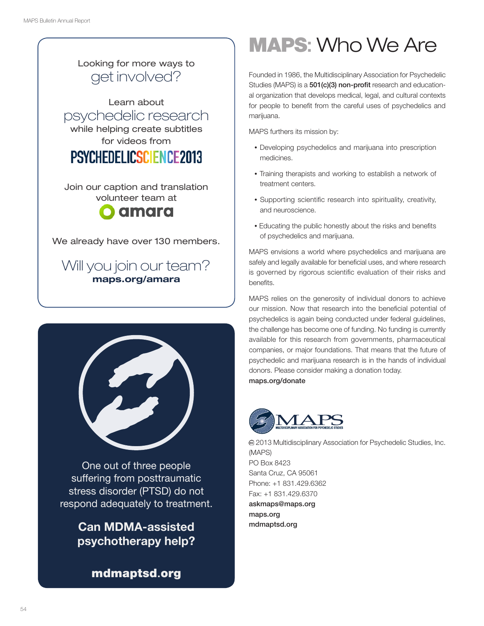### Looking for more ways to get involved?

Learn about psychedelic research while helping create subtitles for videos from

## **PSYCHEDELICSCIENCE2013**

Join our caption and translation volunteer team at



We already have over 130 members.

#### Will you join our team? maps.org/amara



One out of three people suffering from posttraumatic stress disorder (PTSD) do not respond adequately to treatment.

#### Can MDMA-assisted psychotherapy help?

mdmaptsd.org

# MAPS: Who We Are

Founded in 1986, the Multidisciplinary Association for Psychedelic Studies (MAPS) is a 501(c)(3) non-profit research and educational organization that develops medical, legal, and cultural contexts for people to benefit from the careful uses of psychedelics and marijuana.

MAPS furthers its mission by:

- Developing psychedelics and marijuana into prescription medicines.
- Training therapists and working to establish a network of treatment centers.
- Supporting scientific research into spirituality, creativity, and neuroscience.
- Educating the public honestly about the risks and benefits of psychedelics and marijuana.

MAPS envisions a world where psychedelics and marijuana are safely and legally available for beneficial uses, and where research is governed by rigorous scientific evaluation of their risks and benefits.

MAPS relies on the generosity of individual donors to achieve our mission. Now that research into the beneficial potential of psychedelics is again being conducted under federal guidelines, the challenge has become one of funding. No funding is currently available for this research from governments, pharmaceutical companies, or major foundations. That means that the future of psychedelic and marijuana research is in the hands of individual donors. Please consider making a donation today. maps.org/donate



 2013 Multidisciplinary Association for Psychedelic Studies, Inc. (MAPS) PO Box 8423 Santa Cruz, CA 95061 Phone: +1 831.429.6362 Fax: +1 831.429.6370 askmaps@maps.org maps.org mdmaptsd.org